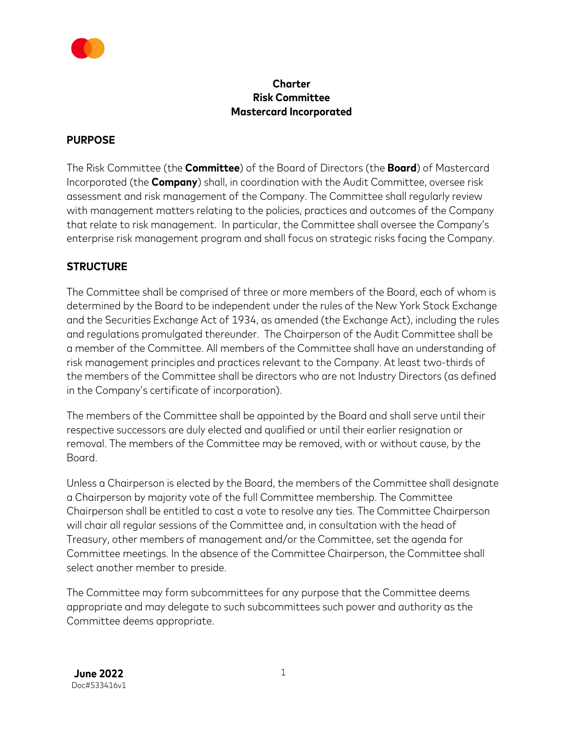

### **Charter Risk Committee Mastercard Incorporated**

#### **PURPOSE**

The Risk Committee (the **Committee**) of the Board of Directors (the **Board**) of Mastercard Incorporated (the **Company**) shall, in coordination with the Audit Committee, oversee risk assessment and risk management of the Company. The Committee shall regularly review with management matters relating to the policies, practices and outcomes of the Company that relate to risk management. In particular, the Committee shall oversee the Company's enterprise risk management program and shall focus on strategic risks facing the Company.

### **STRUCTURE**

The Committee shall be comprised of three or more members of the Board, each of whom is determined by the Board to be independent under the rules of the New York Stock Exchange and the Securities Exchange Act of 1934, as amended (the Exchange Act), including the rules and regulations promulgated thereunder. The Chairperson of the Audit Committee shall be a member of the Committee. All members of the Committee shall have an understanding of risk management principles and practices relevant to the Company. At least two-thirds of the members of the Committee shall be directors who are not Industry Directors (as defined in the Company's certificate of incorporation).

The members of the Committee shall be appointed by the Board and shall serve until their respective successors are duly elected and qualified or until their earlier resignation or removal. The members of the Committee may be removed, with or without cause, by the Board.

Unless a Chairperson is elected by the Board, the members of the Committee shall designate a Chairperson by majority vote of the full Committee membership. The Committee Chairperson shall be entitled to cast a vote to resolve any ties. The Committee Chairperson will chair all regular sessions of the Committee and, in consultation with the head of Treasury, other members of management and/or the Committee, set the agenda for Committee meetings. In the absence of the Committee Chairperson, the Committee shall select another member to preside.

The Committee may form subcommittees for any purpose that the Committee deems appropriate and may delegate to such subcommittees such power and authority as the Committee deems appropriate.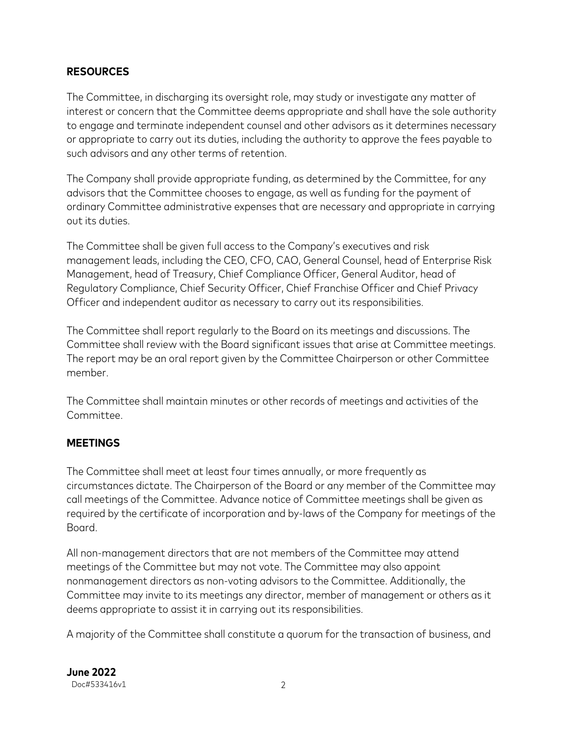### **RESOURCES**

The Committee, in discharging its oversight role, may study or investigate any matter of interest or concern that the Committee deems appropriate and shall have the sole authority to engage and terminate independent counsel and other advisors as it determines necessary or appropriate to carry out its duties, including the authority to approve the fees payable to such advisors and any other terms of retention.

The Company shall provide appropriate funding, as determined by the Committee, for any advisors that the Committee chooses to engage, as well as funding for the payment of ordinary Committee administrative expenses that are necessary and appropriate in carrying out its duties.

The Committee shall be given full access to the Company's executives and risk management leads, including the CEO, CFO, CAO, General Counsel, head of Enterprise Risk Management, head of Treasury, Chief Compliance Officer, General Auditor, head of Regulatory Compliance, Chief Security Officer, Chief Franchise Officer and Chief Privacy Officer and independent auditor as necessary to carry out its responsibilities.

The Committee shall report regularly to the Board on its meetings and discussions. The Committee shall review with the Board significant issues that arise at Committee meetings. The report may be an oral report given by the Committee Chairperson or other Committee member.

The Committee shall maintain minutes or other records of meetings and activities of the Committee.

#### **MEETINGS**

The Committee shall meet at least four times annually, or more frequently as circumstances dictate. The Chairperson of the Board or any member of the Committee may call meetings of the Committee. Advance notice of Committee meetings shall be given as required by the certificate of incorporation and by-laws of the Company for meetings of the Board.

All non-management directors that are not members of the Committee may attend meetings of the Committee but may not vote. The Committee may also appoint nonmanagement directors as non-voting advisors to the Committee. Additionally, the Committee may invite to its meetings any director, member of management or others as it deems appropriate to assist it in carrying out its responsibilities.

A majority of the Committee shall constitute a quorum for the transaction of business, and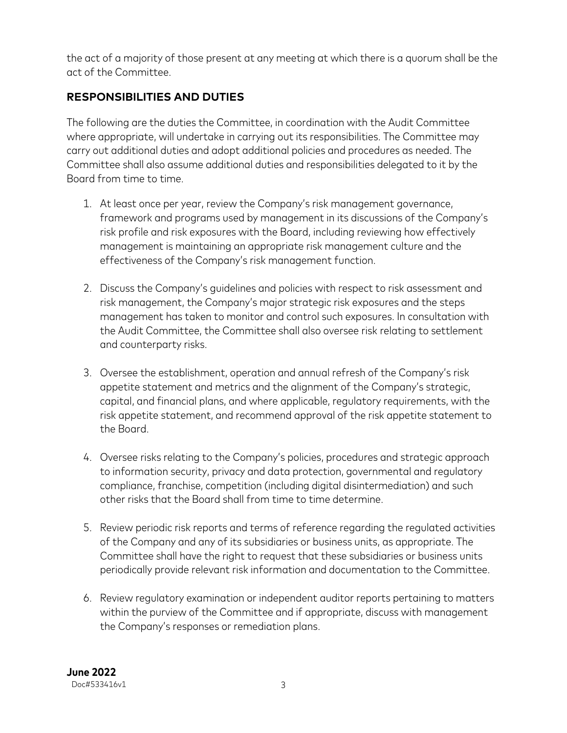the act of a majority of those present at any meeting at which there is a quorum shall be the act of the Committee.

# **RESPONSIBILITIES AND DUTIES**

The following are the duties the Committee, in coordination with the Audit Committee where appropriate, will undertake in carrying out its responsibilities. The Committee may carry out additional duties and adopt additional policies and procedures as needed. The Committee shall also assume additional duties and responsibilities delegated to it by the Board from time to time.

- 1. At least once per year, review the Company's risk management governance, framework and programs used by management in its discussions of the Company's risk profile and risk exposures with the Board, including reviewing how effectively management is maintaining an appropriate risk management culture and the effectiveness of the Company's risk management function.
- 2. Discuss the Company's guidelines and policies with respect to risk assessment and risk management, the Company's major strategic risk exposures and the steps management has taken to monitor and control such exposures. In consultation with the Audit Committee, the Committee shall also oversee risk relating to settlement and counterparty risks.
- 3. Oversee the establishment, operation and annual refresh of the Company's risk appetite statement and metrics and the alignment of the Company's strategic, capital, and financial plans, and where applicable, regulatory requirements, with the risk appetite statement, and recommend approval of the risk appetite statement to the Board.
- 4. Oversee risks relating to the Company's policies, procedures and strategic approach to information security, privacy and data protection, governmental and regulatory compliance, franchise, competition (including digital disintermediation) and such other risks that the Board shall from time to time determine.
- 5. Review periodic risk reports and terms of reference regarding the regulated activities of the Company and any of its subsidiaries or business units, as appropriate. The Committee shall have the right to request that these subsidiaries or business units periodically provide relevant risk information and documentation to the Committee.
- 6. Review regulatory examination or independent auditor reports pertaining to matters within the purview of the Committee and if appropriate, discuss with management the Company's responses or remediation plans.